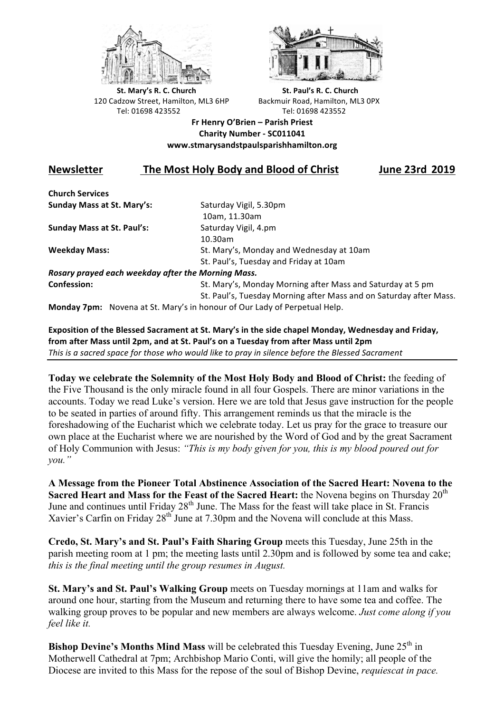



**St.** Mary's R. C. Church St. Paul's R. C. Church 120 Cadzow Street, Hamilton, ML3 6HP Backmuir Road, Hamilton, ML3 0PX Tel: 01698 423552 Tel: 01698 423552

**Fr Henry O'Brien – Parish Priest Charity Number - SC011041 www.stmarysandstpaulsparishhamilton.org**

## **Newsletter** The Most Holy Body and Blood of Christ June 23rd 2019

**Church Services Sunday Mass at St. Mary's:** Saturday Vigil, 5.30pm

**Sunday Mass at St. Paul's:** Saturday Vigil, 4.pm

 10am, 11.30am 10.30am **Weekday Mass:** St. Mary's, Monday and Wednesday at 10am St. Paul's, Tuesday and Friday at 10am

*Rosary prayed each weekday after the Morning Mass.* **Confession:** St. Mary's, Monday Morning after Mass and Saturday at 5 pm

St. Paul's, Tuesday Morning after Mass and on Saturday after Mass.

**Monday 7pm:** Novena at St. Mary's in honour of Our Lady of Perpetual Help.

**Exposition of the Blessed Sacrament at St. Mary's in the side chapel Monday, Wednesday and Friday,** from after Mass until 2pm, and at St. Paul's on a Tuesday from after Mass until 2pm *This* is a sacred space for those who would like to pray in silence before the Blessed Sacrament

**Today we celebrate the Solemnity of the Most Holy Body and Blood of Christ:** the feeding of the Five Thousand is the only miracle found in all four Gospels. There are minor variations in the accounts. Today we read Luke's version. Here we are told that Jesus gave instruction for the people to be seated in parties of around fifty. This arrangement reminds us that the miracle is the foreshadowing of the Eucharist which we celebrate today. Let us pray for the grace to treasure our own place at the Eucharist where we are nourished by the Word of God and by the great Sacrament of Holy Communion with Jesus: *"This is my body given for you, this is my blood poured out for you."*

**A Message from the Pioneer Total Abstinence Association of the Sacred Heart: Novena to the Sacred Heart and Mass for the Feast of the Sacred Heart:** the Novena begins on Thursday 20<sup>th</sup> June and continues until Friday 28<sup>th</sup> June. The Mass for the feast will take place in St. Francis Xavier's Carfin on Friday 28<sup>th</sup> June at 7.30pm and the Novena will conclude at this Mass.

**Credo, St. Mary's and St. Paul's Faith Sharing Group** meets this Tuesday, June 25th in the parish meeting room at 1 pm; the meeting lasts until 2.30pm and is followed by some tea and cake; *this is the final meeting until the group resumes in August.*

**St. Mary's and St. Paul's Walking Group** meets on Tuesday mornings at 11am and walks for around one hour, starting from the Museum and returning there to have some tea and coffee. The walking group proves to be popular and new members are always welcome. *Just come along if you feel like it.*

**Bishop Devine's Months Mind Mass** will be celebrated this Tuesday Evening, June 25<sup>th</sup> in Motherwell Cathedral at 7pm; Archbishop Mario Conti, will give the homily; all people of the Diocese are invited to this Mass for the repose of the soul of Bishop Devine, *requiescat in pace.*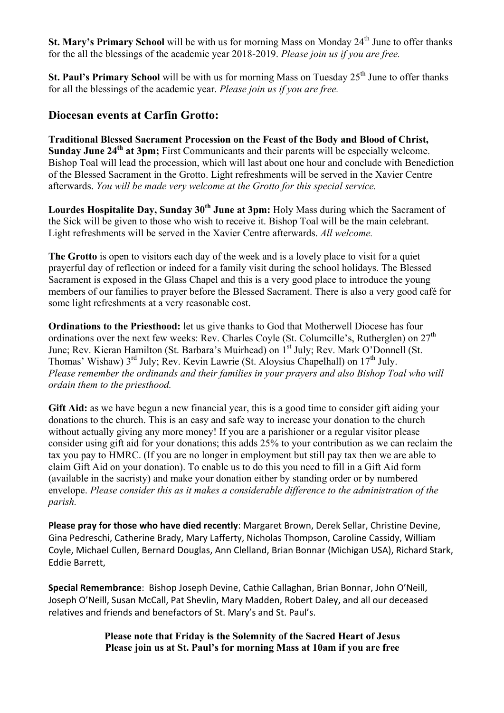**St. Mary's Primary School** will be with us for morning Mass on Monday 24<sup>th</sup> June to offer thanks for the all the blessings of the academic year 2018-2019. *Please join us if you are free.*

**St. Paul's Primary School** will be with us for morning Mass on Tuesday 25<sup>th</sup> June to offer thanks for all the blessings of the academic year. *Please join us if you are free.*

## **Diocesan events at Carfin Grotto:**

**Traditional Blessed Sacrament Procession on the Feast of the Body and Blood of Christ, Sunday June 24<sup>th</sup> at 3pm;** First Communicants and their parents will be especially welcome. Bishop Toal will lead the procession, which will last about one hour and conclude with Benediction of the Blessed Sacrament in the Grotto. Light refreshments will be served in the Xavier Centre afterwards. *You will be made very welcome at the Grotto for this special service.*

Lourdes Hospitalite Day, Sunday 30<sup>th</sup> June at 3pm: Holy Mass during which the Sacrament of the Sick will be given to those who wish to receive it. Bishop Toal will be the main celebrant. Light refreshments will be served in the Xavier Centre afterwards. *All welcome.*

**The Grotto** is open to visitors each day of the week and is a lovely place to visit for a quiet prayerful day of reflection or indeed for a family visit during the school holidays. The Blessed Sacrament is exposed in the Glass Chapel and this is a very good place to introduce the young members of our families to prayer before the Blessed Sacrament. There is also a very good café for some light refreshments at a very reasonable cost.

**Ordinations to the Priesthood:** let us give thanks to God that Motherwell Diocese has four ordinations over the next few weeks: Rev. Charles Coyle (St. Columcille's, Rutherglen) on  $27<sup>th</sup>$ June; Rev. Kieran Hamilton (St. Barbara's Muirhead) on 1<sup>st</sup> July; Rev. Mark O'Donnell (St. Thomas' Wishaw)  $3^{rd}$  July; Rev. Kevin Lawrie (St. Aloysius Chapelhall) on  $17^{th}$  July. *Please remember the ordinands and their families in your prayers and also Bishop Toal who will ordain them to the priesthood.*

Gift Aid: as we have begun a new financial year, this is a good time to consider gift aiding your donations to the church. This is an easy and safe way to increase your donation to the church without actually giving any more money! If you are a parishioner or a regular visitor please consider using gift aid for your donations; this adds 25% to your contribution as we can reclaim the tax you pay to HMRC. (If you are no longer in employment but still pay tax then we are able to claim Gift Aid on your donation). To enable us to do this you need to fill in a Gift Aid form (available in the sacristy) and make your donation either by standing order or by numbered envelope. *Please consider this as it makes a considerable difference to the administration of the parish.*

Please pray for those who have died recently: Margaret Brown, Derek Sellar, Christine Devine, Gina Pedreschi, Catherine Brady, Mary Lafferty, Nicholas Thompson, Caroline Cassidy, William Coyle, Michael Cullen, Bernard Douglas, Ann Clelland, Brian Bonnar (Michigan USA), Richard Stark, Eddie Barrett, 

Special Remembrance: Bishop Joseph Devine, Cathie Callaghan, Brian Bonnar, John O'Neill, Joseph O'Neill, Susan McCall, Pat Shevlin, Mary Madden, Robert Daley, and all our deceased relatives and friends and benefactors of St. Mary's and St. Paul's.

> **Please note that Friday is the Solemnity of the Sacred Heart of Jesus Please join us at St. Paul's for morning Mass at 10am if you are free**